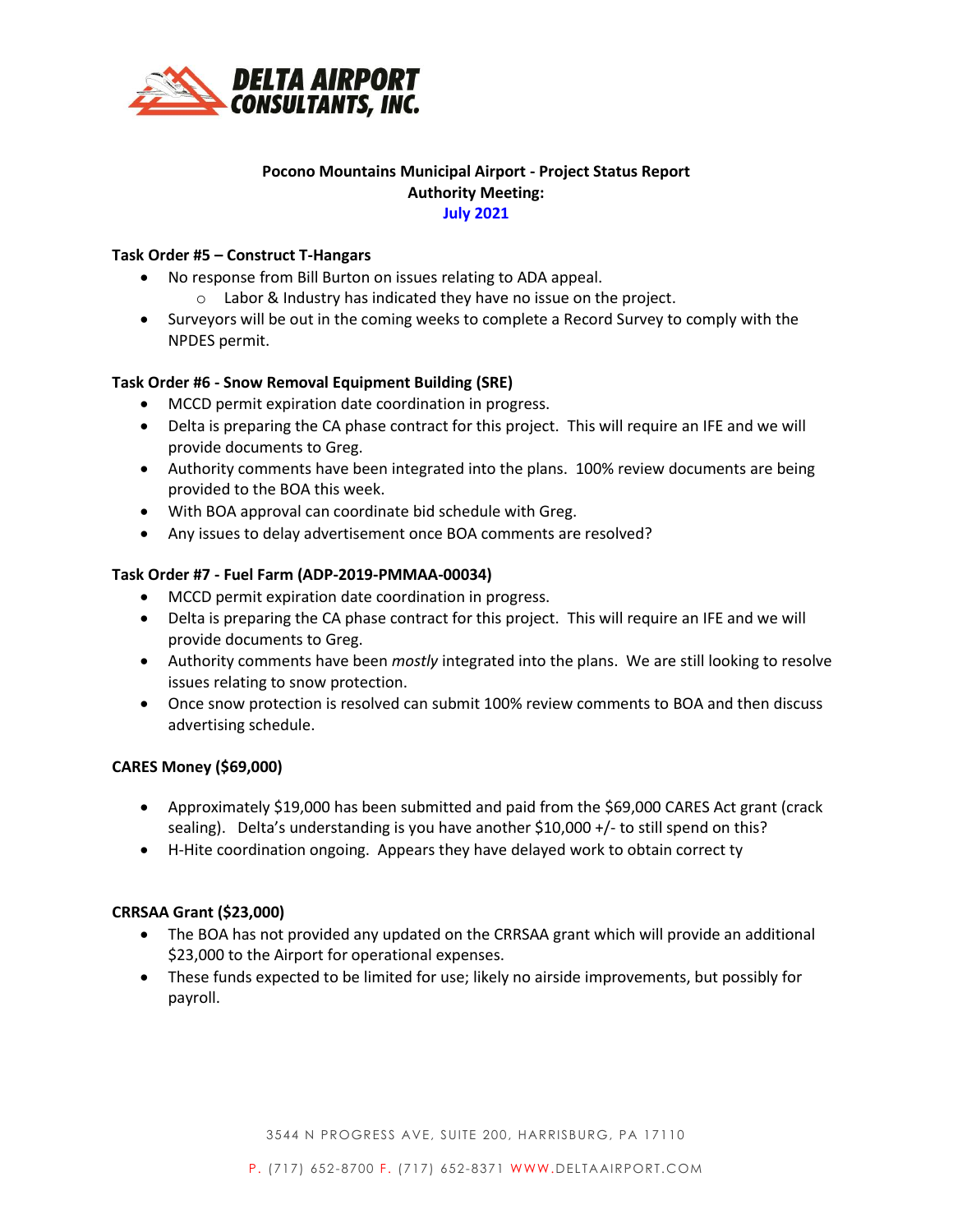

# **Pocono Mountains Municipal Airport - Project Status Report Authority Meeting: July 2021**

### **Task Order #5 – Construct T-Hangars**

- No response from Bill Burton on issues relating to ADA appeal.
	- o Labor & Industry has indicated they have no issue on the project.
- Surveyors will be out in the coming weeks to complete a Record Survey to comply with the NPDES permit.

## **Task Order #6 - Snow Removal Equipment Building (SRE)**

- MCCD permit expiration date coordination in progress.
- Delta is preparing the CA phase contract for this project. This will require an IFE and we will provide documents to Greg.
- Authority comments have been integrated into the plans. 100% review documents are being provided to the BOA this week.
- With BOA approval can coordinate bid schedule with Greg.
- Any issues to delay advertisement once BOA comments are resolved?

## **Task Order #7 - Fuel Farm (ADP-2019-PMMAA-00034)**

- MCCD permit expiration date coordination in progress.
- Delta is preparing the CA phase contract for this project. This will require an IFE and we will provide documents to Greg.
- Authority comments have been *mostly* integrated into the plans. We are still looking to resolve issues relating to snow protection.
- Once snow protection is resolved can submit 100% review comments to BOA and then discuss advertising schedule.

### **CARES Money (\$69,000)**

- Approximately \$19,000 has been submitted and paid from the \$69,000 CARES Act grant (crack sealing). Delta's understanding is you have another \$10,000 +/- to still spend on this?
- H-Hite coordination ongoing. Appears they have delayed work to obtain correct ty

### **CRRSAA Grant (\$23,000)**

- The BOA has not provided any updated on the CRRSAA grant which will provide an additional \$23,000 to the Airport for operational expenses.
- These funds expected to be limited for use; likely no airside improvements, but possibly for payroll.